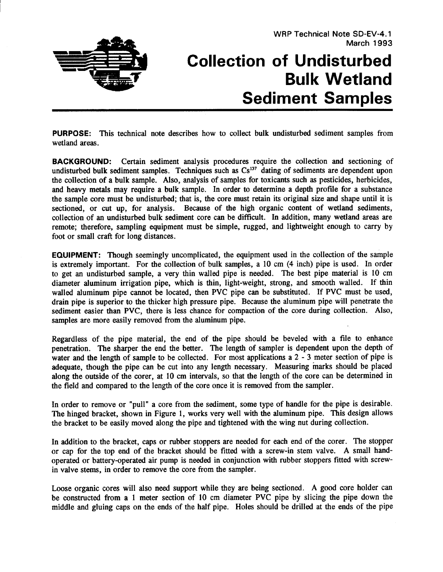## **Collection of Undisturbed Bulk Wetland Sediment Samples**

**PURPOSE:** This technical note describes how to collect bulk undisturbed sediment samples from wetland areas.

**BACKGROUND:** Certain sediment analysis procedures require the collection and sectioning of undisturbed bulk sediment samples. Techniques such as  $Cs^{137}$  dating of sediments are dependent upon the collection of a bulk sample. Also, analysis of samples for toxicants such as pesticides, herbicides, and heavy metals may require a bulk sample. In order to determine a depth profile for a substance the sample core must be undisturbed; that is, the core must retain its original size and shape until it is sectioned, or cut up, for analysis. Because of the high organic content of wetland sediments, collection of an undisturbed bulk sediment core can be difficult. In addition, many wetland areas are remote; therefore, sampling equipment must be simple, rugged, and lightweight enough to carry by foot or small craft for long distances.

**EQUIPMENT:** Though seemingly uncomplicated, the equipment used in the collection of the sample is extremely important. For the collection of bulk samples, a 10 cm (4 inch) pipe is used. In order to get an undisturbed sample, a very thin walled pipe is needed. The best pipe material is 10 cm diameter aluminum irrigation pipe, which is thin, light-weight, strong, and smooth walled. If thin walled aluminum pipe cannot be located, then PVC pipe can be substituted. If PVC must be used, drain pipe is superior to the thicker high pressure pipe. Because the aluminum pipe will penetrate the sediment easier than PVC, there is less chance for compaction of the core during collection. Also, samples are more easily removed from the aluminum pipe.

Regardless of the pipe material, the end of the pipe should be beveled with a file to enhance penetration. The sharper the end the better. The length of sampler is dependent upon the depth of water and the length of sample to be collected. For most applications a 2 - 3 meter section of pipe is adequate, though the pipe can be cut into any length necessary. Measuring marks should be placed along the outside of the corer, at 10 cm intervals, so that the length of the core can be determined in the field and compared to the length of the core once it is removed from the sampler.

In order to remove or "pull" a core from the sediment, some type of handle for the pipe is desirable. The hinged bracket, shown in Figure 1, works very well with the aluminum pipe. This design allows the bracket to be easily moved along the pipe and tightened with the wing nut during collection.

In addition to the bracket, caps or rubber stoppers are needed for each end of the corer. The stopper or cap for the top end of the bracket should be fitted with a screw-in stem valve. A small handoperated or battery-operated air pump is needed in conjunction with rubber stoppers fitted with screwin valve **stems,** in order to remove the core from the sampler.

Loose organic cores will also need support while they are being sectioned. A good core holder can be constructed from a 1 meter section of 10 cm diameter PVC pipe by slicing the pipe down the middle and gluing caps on the ends of the half pipe. Holes should be drilled at the ends of the pipe

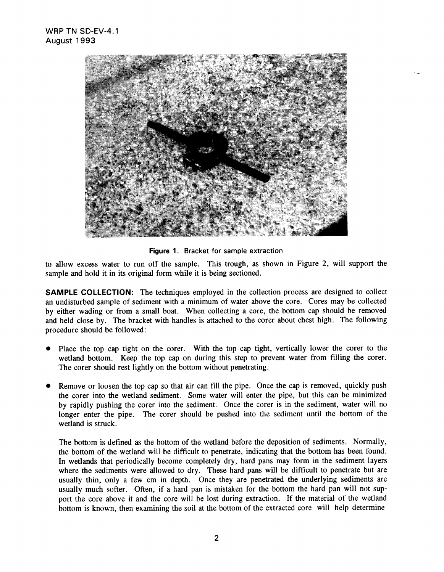

**Figure 1. Bracket** for sample extraction

to allow excess water to run off the sample. This trough, as shown in Figure 2, will support the sample and hold it in its original form while it is being sectioned.

**SAMPLE COLLECTION:** The techniques employed in the collection process are designed to collect an undisturbed sample of sediment with a minimum of water above the core. Cores may be collected by either wading or from a small boat. When collecting a core, the bottom cap should be removed and held close by. The bracket with handles is attached to the corer about chest high. The following procedure should be followed:

- . Place the top cap tight on the corer. With the top cap tight, vertically lower the corer to the wetland bottom. Keep the top cap on during this step to prevent water from filling the corer. The corer should rest lightly on the bottom without penetrating.
- . Remove or loosen the top cap so that air can fill the pipe. Once the cap is removed, quickly push the corer into the wetland sediment. Some water will enter the pipe, but this can be minimized by rapidly pushing the corer into the sediment. Once the corer is in the sediment, water will no longer enter the pipe. The corer should be pushed into the sediment until the bottom of the wetland is struck.

The bottom is defined as the bottom of the wetland before the deposition of sediments. Normally, the bottom of the wetland will be difficult to penetrate, indicating that the bottom has been found. In wetlands that periodically become completely dry, hard pans may form in the sediment layers where the sediments were allowed to dry. These hard pans will be difficult to penetrate but are usually thin, only a few cm in depth. Once they are penetrated the underlying sediments are usually much softer. Often, if a hard pan is mistaken for the bottom the hard pan will not support the core above it and the core will be lost during extraction. If the material of the wetland bottom is known, then examining the soil at the bottom of the extracted core will help determine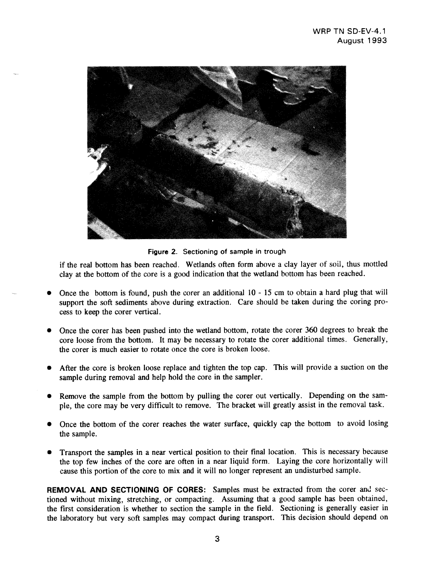

-.

**Figure 2. Sectioning of sample in trough**

if the real bottom has been reached. Wetlands often form above a clay layer of soil, thus mottled clay at the bottom of the core is a good indication that the wetland bottom has been reached.

- Once the bottom is found, push the corer an additional 10-15 cm to obtain a hard plug that will support the soft sediments above during extraction. Care should be taken during the coring process to keep the corer vertical.
- s Once the corer has been pushed into the wetland bottom, rotate the corer 360 degrees to break the core loose from the bottom. It may be necessary to rotate the corer additional times. Generally, the corer is much easier to rotate once the core is broken loose.
- After the core is broken loose replace and tighten the top cap. This will provide a suction on the sample during removal and help hold the core in the sampler.
- Remove the sample from the bottom by pulling the corer out vertically. Depending on the sample, the core may be very difficult to remove. The bracket will greatly assist in the removal task.
- Once the bottom of the corer reaches the water surface, quickly cap the bottom to avoid losing the sample.
- Transport the samples in a near vertical position to their final location. This is necessary because the top few inches of the core are often in a near liquid form. Laying the core horizontally will cause this portion of the core to mix and it will no longer represent an undisturbed sample.

**REMOVAL AND SECTIONING OF CORES: Samples must** be **extracted** from the corer and sectioned without mixing, stretching, or compacting. Assuming that a good sample has been obtained, the first consideration is whether to section the sample in the field. Sectioning is generally easier in the laboratory but very soft samples may compact during transport. This decision should depend on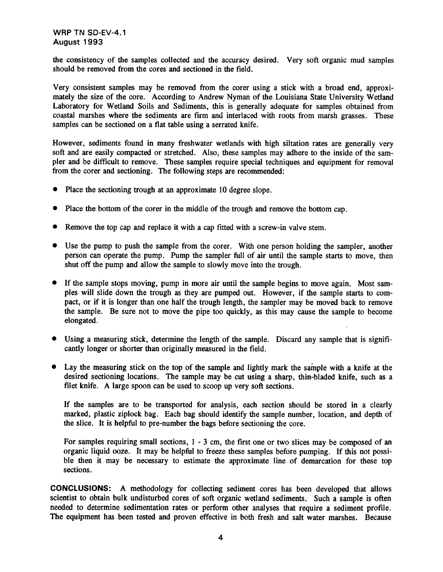**WRP TN SD-EV-4.1 August 1993**

**the** consistency of the samples collected and the accuracy desired. Very soft organic mud samples should be removed from the cores and sectioned in the field.

Very consistent samples may be removed from the corer using a stick with a broad end, approximately the size of the core. According to Andrew Nyman of the Louisiana State University Wetland Laboratory for Wetland Soils and Sediments, this is generally adequate for samples obtained from coastal marshes where the sediments are firm and interlaced with roots from marsh grasses. These samples can be sectioned on a flat table using a serrated knife.

However, sediments found in many freshwater wetlands with high siltation rates are generally very soft and are easily compacted or stretched. Also, these samples may adhere to the inside of the sampler and be difficult to remove. These samples require special techniques and equipment for removal from the corer and sectioning. The following steps are recommended:

- $\bullet$ Place the sectioning trough at an approximate 10 degree slope.
- Place the bottom of the corer in the middle of the trough and remove the bottom cap.
- Remove the top cap and replace it with a cap fitted with a screw-in valve stem.
- Use the pump to push the sample from the corer. With one person holding the sampler, another person can operate the pump. Pump the sampler full of air until the sample starts to move, then shut off the pump and allow the sample to slowly move into the trough.
- If the sample stops moving, pump in more air until the sample begins to move again. Most samples will slide down the trough as they are pumped out. However, if the sample starts to compact, or if it is longer than one half the trough length, the sampler may be moved back to remove the sample. Be sure not to move the pipe too quickly, as this may cause the sample to become elongated.
- Using a measuring stick, determine the length of the sample. Discard any sample that is significantly longer or shorter than originally measured in the field.
- $\bullet$  Lay the measuring stick on the top of the sample and lightly mark the sample with a knife at the desired sectioning locations. The sample may be cut using a sharp, thin-bladed knife, such as a filet knife. A large spoon can be used to scoop up very sofi sections.

If the samples are to be transported for analysis, each section should be stored in a clearly marked, plastic ziplock bag. Each bag should identify the sample number, location, and depth of the slice. It is helpfil to pre-number the bags before sectioning the core.

For samples requiring small sections, 1 -3 cm, the first one or two slices may be composed of an organic liquid ooze. It may be helpfid to freeze these samples before pumping. If this not possible then it may be necessary to estimate the approximate line of demarcation for these top sections.

**CONCLUSIONS: A** methodology for collecting sediment cores has been developed that allows scientist to obtain bulk undisturbed cores of soft organic wetland sediments. Such a sample is often needed to determine sedimentation rates or perform other analyses that require a sediment profile. The equipment has been tested and proven effective in both fresh and salt water marshes. Because